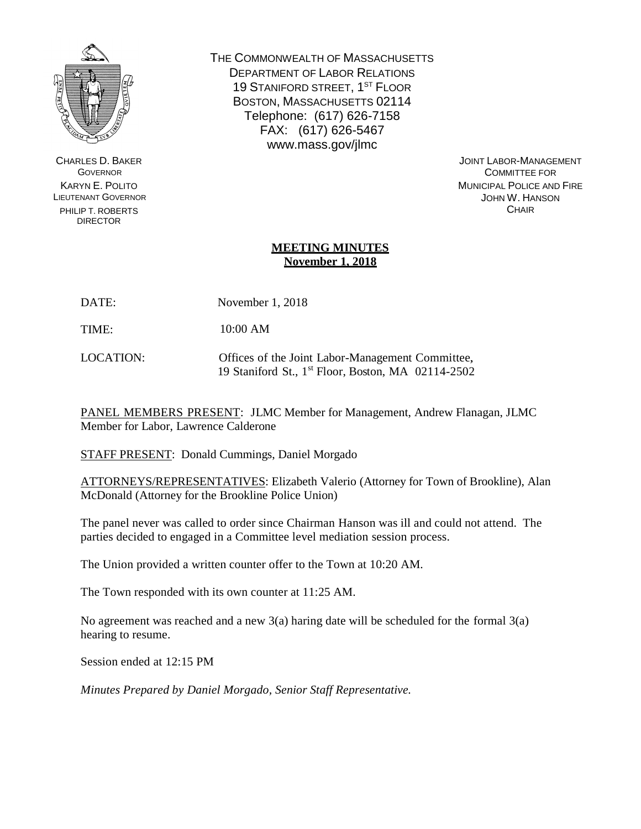

CHARLES D. BAKER **GOVERNOR** KARYN E. POLITO LIEUTENANT GOVERNOR PHILIP T. ROBERTS DIRECTOR

THE COMMONWEALTH OF MASSACHUSETTS DEPARTMENT OF LABOR RELATIONS 19 STANIFORD STREET, 1<sup>ST</sup> FLOOR BOSTON, MASSACHUSETTS 02114 Telephone: (617) 626-7158 FAX: (617) 626-5467 www.mass.gov/jlmc

> JOINT LABOR-MANAGEMENT COMMITTEE FOR MUNICIPAL POLICE AND FIRE JOHN W. HANSON **CHAIR**

# **MEETING MINUTES November 1, 2018**

DATE: November 1, 2018

TIME: 10:00 AM

LOCATION: Offices of the Joint Labor-Management Committee, 19 Staniford St., 1 st Floor, Boston, MA 02114-2502

PANEL MEMBERS PRESENT: JLMC Member for Management, Andrew Flanagan, JLMC Member for Labor, Lawrence Calderone

STAFF PRESENT: Donald Cummings, Daniel Morgado

ATTORNEYS/REPRESENTATIVES: Elizabeth Valerio (Attorney for Town of Brookline), Alan McDonald (Attorney for the Brookline Police Union)

The panel never was called to order since Chairman Hanson was ill and could not attend. The parties decided to engaged in a Committee level mediation session process.

The Union provided a written counter offer to the Town at 10:20 AM.

The Town responded with its own counter at 11:25 AM.

No agreement was reached and a new  $3(a)$  haring date will be scheduled for the formal  $3(a)$ hearing to resume.

Session ended at 12:15 PM

*Minutes Prepared by Daniel Morgado, Senior Staff Representative.*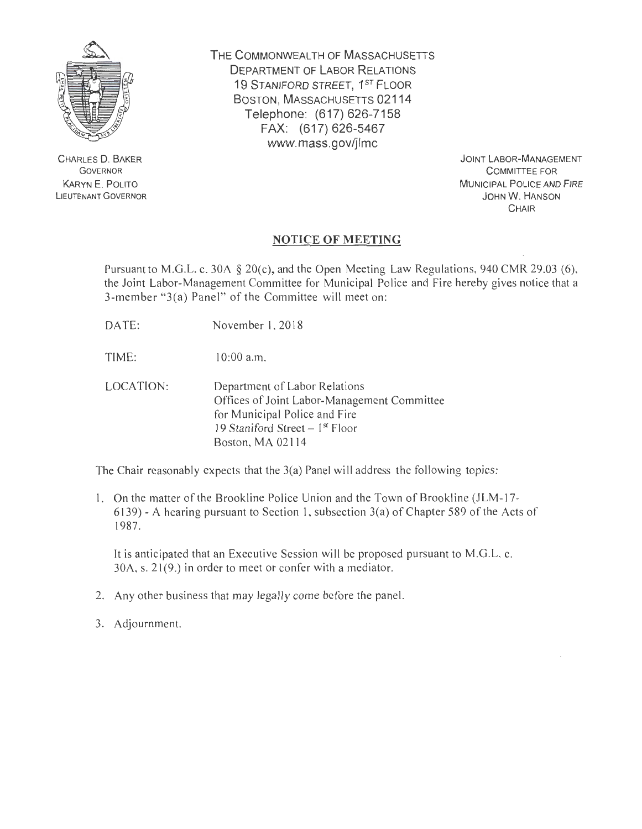

CHARLES 0 . BAKER GOVERNOR KARYN E. POLITO LIEUTENANT GOVERNOR **THE** COMMONWEALTH OF MASSACHUSETTS DEPARTMENT OF LABOR RELATIONS 19 STANIFORD STREET, 1ST FLOOR BOSTON, MASSACHUSETTS 02114 Telephone: (617) 626-7158 FAX: (617) 626-5467 www.mass.gov/jlmc

> JOINT LABOR-MANAGEMENT COMMITTEE FOR MUNICIPAL POLICE AND FIRE JOHN W. HANSON **CHAIR**

# **NOTICE OF MEETING**

Pursuant to M.G.L. c. 30A § 20(c), and the Open Meeting Law Regulations, 940 CMR 29.03 (6), the Joint Labor-Management Committee for Municipal Police and Fire hereby gives notice that a 3-member "3(a) Panel" of the Committee will meet on:

DATE: November I, 2018

TIME: 10:00 a.m.

LOCATION: Department of Labor Relations Offices of Joint Labor-Management Committee for Municipal Police and Fire 19 Staniford Street  $-1<sup>st</sup>$  Floor Boston, MA 021 14

The Chair reasonably expects that the 3(a) Panel will address the following topics:

I. On the matter of the Brookline Police Union and the Town of Brookline (JLM-17- 6139)- A hearing pursuant to Section I, subsection 3(a) of Chapter 589 of the Acts of 1987.

It is anticipated that an Executive Session will be proposed pursuant to M.G.L. c.  $30A$ , s.  $21(9)$  in order to meet or confer with a mediator.

- 2. Any other business that may legally come before the panel.
- 3. Adjournment.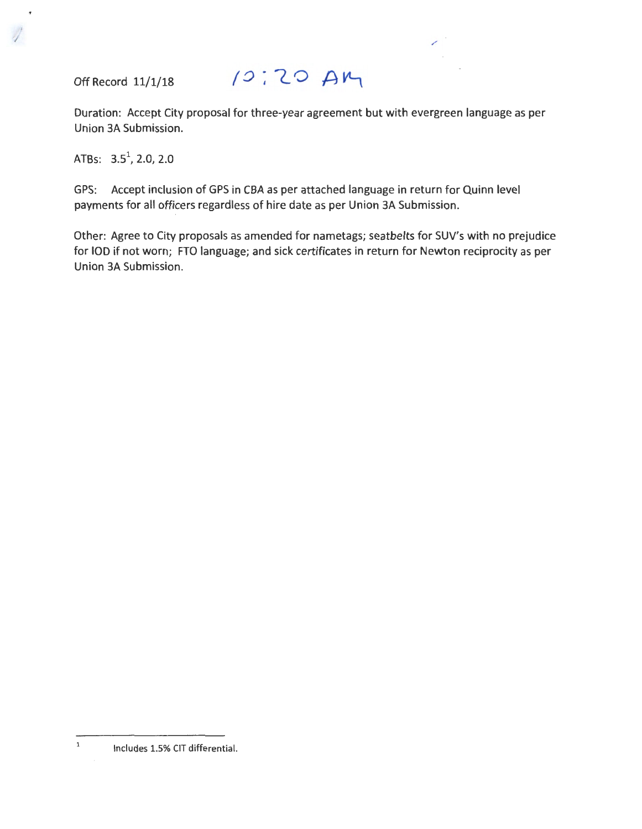Off Record 11/1/18

j I

# $10:20M$

Duration: Accept City proposal for three-year agreement but with evergreen language as per Union 3A Submission.

ATBs: 3.5\ *2.0,* 2.0

GPS: Accept inclusion of GPS in CBA as per attached language in return for Quinn level payments for all officers regardless of hire date as per Union 3A Submission.

Other: Agree to City proposals as amended for nametags; seatbelts for SUV's with no prejudice for IOD if not worn; FTO language; and sick certificates in return for Newton reciprocity as per Union 3A Submission.

 $\,$  1 Includes 1.5% CIT differential.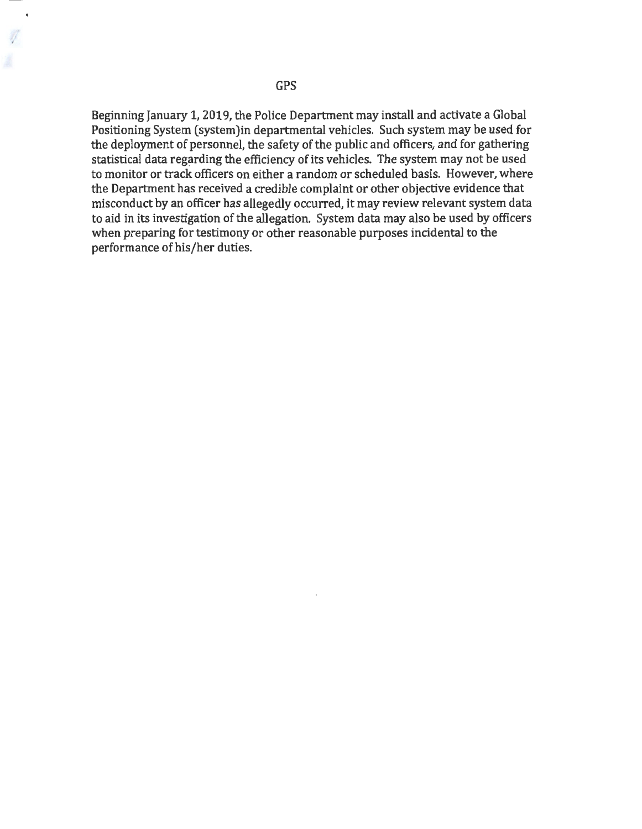GPS

Beginning January 1, 2019, the Police Department may install and activate a Global Positioning System (system)in departmental vehicles. Such system may be used for the deployment of personnel, the safety of the public and officers, and for gathering statistical data regarding the efficiency of its vehicles. The system may not be used to monitor or track officers on either a random or scheduled basis. However, where the Department has received a credible complaint or other objective evidence that misconduct by an officer has allegedly occurred, it may review relevant system data to aid in its investigation of the allegation. System data may also be used by officers when preparing for testimony or other reasonable purposes incidental to the performance of his/her duties.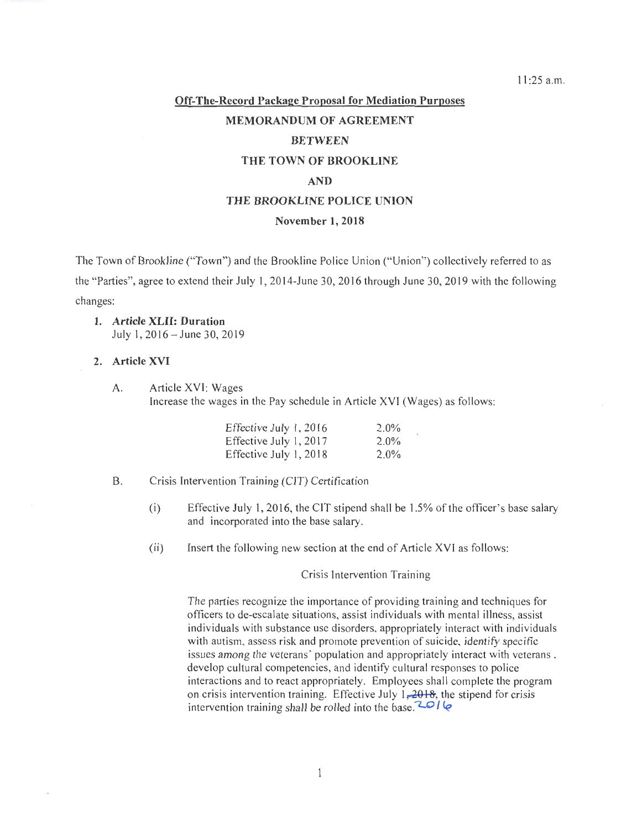11:25 a.m.

# **Off-The-Record Package Proposal for Mediation Purposes MEMORANDUM OF AGREEMENT BETWEEN THE TOWN OF BROOKLINE AND THE BROOKLINE POLICE UNION**

#### **November 1, 2018**

The Town of Brookline ("Town") and the Brookline Police Union ("Union") collectively referred to as the "Parties", agree to extend their July I, 20 14-June 30, 2016 through June 30, 2019 with the following changes:

**1. Article XLII: Duration**  July I, 2016- June 30, 2019

# **2. Article XVI**

A. Article XVI: Wages

Increase the wages in the Pay schedule in Article XVI (Wages) as follows:

| Effective July 1, 2016 | $2.0\%$ |
|------------------------|---------|
| Effective July 1, 2017 | $2.0\%$ |
| Effective July 1, 2018 | $2.0\%$ |

#### B. Crisis Intervention Training (CIT) Certification

- (i) Effective July 1, 2016, the CIT stipend shall be 1.5% of the officer's base salary and incorporated into the base salary.
- (ii) Insert the following new section at the end of Article XVI as follows:

Crisis Intervention Training

The parties recognize the importance of providing training and techniques for officers to de-escalate situations, assist individuals with mental illness, assist individuals with substance use disorders, appropriately interact with individuals with autism, assess risk and promote prevention of suicide, identify specific issues among the veterans' population and appropriately interact with veterans , develop cultural competencies, and identify cultural responses to police interactions and to react appropriately. Employees shall complete the program on crisis intervention training. Effective July  $1, 2018$ , the stipend for crisis intervention training shall be rolled into the base.<sup> $201$ </sup>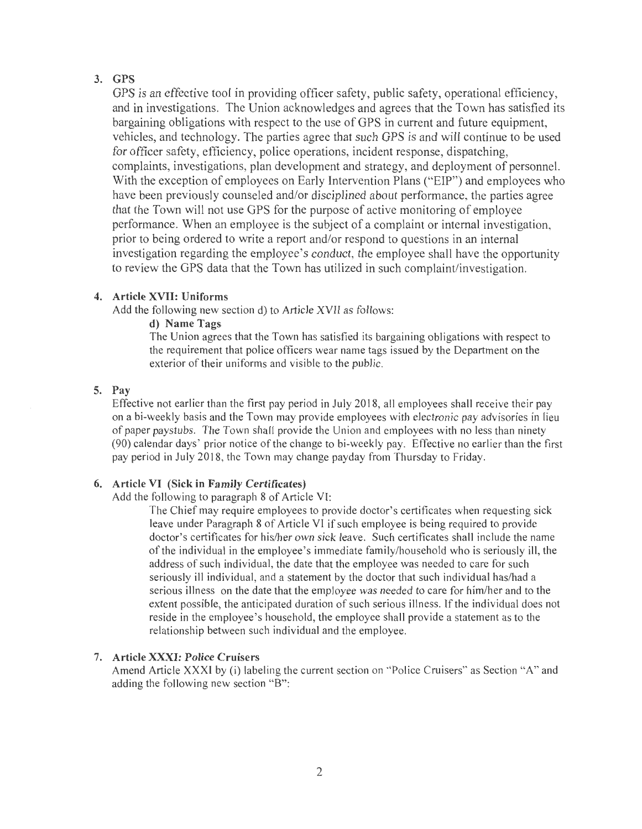# 3. GPS

GPS is an effective tool in providing officer safety, public safety, operational efficiency, and in investigations. The Union acknowledges and agrees that the Town has satisfied its bargaining obligations with respect to the use of GPS in current and future equipment, vehicles, and technology. The parties agree that such GPS is and will continue to be used for officer safety, efficiency, police operations, incident response, dispatching, complaints, investigations, plan development and strategy, and deployment of personnel. With the exception of employees on Early Intervention Plans ("EIP") and employees who have been previously counseled and/or disciplined about performance, the parties agree that the Town will not use GPS for the purpose of active monitoring of employee performance. When an employee is the subject of a complaint or internal investigation, prior to being ordered to write a report and/or respond to questions in an internal investigation regarding the employee's conduct, the employee shall have the opportunity to review the GPS data that the Town has utilized in such complaint/investigation.

#### 4. Article XVII: Uniforms

Add the following new section d) to Article XVII as follows:

# d) Name Tags.

The Union agrees that the Town has satisfied its bargaining obligations with respect to the requirement that police officers wear name tags issued by the Department on the exterior of their uniforms and visible to the public.

#### 5. Pay

Effective not earlier than the first pay period in July 2018, all employees shall receive their pay on a bi-weekly basis and the Town may provide employees with electronic pay advisories in lieu of paper paystubs. The Town shall provide the Union and employees with no less than ninety (90) calendar days' prior notice of the change to bi-weekly pay. Effective no earlier than the first pay period in July 2018, the Town may change payday from Thursday to Friday.

# 6. Article VI (Sick in Family Certificates)

#### Add the following to paragraph 8 of Article VI:

The Chief may require employees to provide doctor's certificates when requesting sick leave under Paragraph 8 of Article VI if such employee is being required to provide doctor's certificates for his/her own sick leave. Such certificates shall include the name of the individual in the employee's immediate family/household who is seriously ill, the address of such individual, the date that the employee was needed to care for such seriously ill individual, and a statement by the doctor that such individual has/had a serious illness on the date that the employee was needed to care for him/her and to the extent possible, the anticipated duration of such serious illness. lfthe individual does not reside in the employee's household, the employee shall provide a statement as to the relationship between such individual and the employee.

# 7. Article XXXI: Police Cruisers

Amend Article XXXI by (i) labeling the current section on " Police Cruisers" as Section "A" and adding the following new section "B":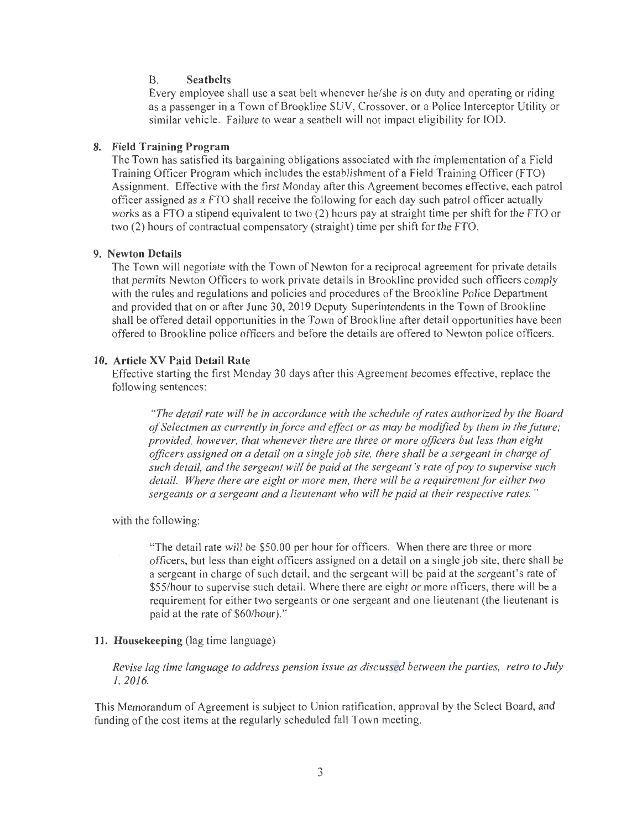#### B. **Seatbelts**

Every employee shall use a seat belt whenever he/she is on duty and operating or riding as a passenger in a Town of Brookline SUV, Crossover, or a Police Interceptor Utility or similar vehicle. Failure to wear a seatbelt will not impact eligibility for IOD.

# **8. Field Training Program**

The Town has satisfied its bargaining obligations associated with the implementation of a Field Training Officer Program which includes the establishment of a Field Training Officer (FTO) Assignment. Effective with the first Monday after this Agreement becomes effective, each patrol officer assigned as a FTO shall receive the following for each day such patrol officer actually works as a FTO a stipend equivalent to two (2) hours pay at straight time per shift for the FTO or two (2) hours of contractual compensatory (straight) time per shift for the FTO.

#### **9. Newton Details**

The Town will negotiate with the Town of Newton for a reciprocal agreement for private details that permits Newton Officers to work private details in Brookline provided such officers comply with the rules and regulations and policies and procedures of the Brookline Police Department and provided that on or after June 30,2019 Deputy Superintendents in the Town of Brookline shall be offered detail opportunities in the Town of Brookline after detail opportunities have been offered to Brookline police officers and before the details are offered to Newton police officers.

#### **10. Article XV Paid Detail Rate**

Effective starting the first Monday 30 days after this Agreement becomes effective, replace the following sentences:

*"The detail rate will be in accordance with the schedule of rates authorized by the Board of Selectmen as currently in force and effect or as may be modified by them in the future ; provided, however, that whenever there are three or more officers but less than eight officers assigned on a detail on a single job site, there shall be a sergeant in charge of such detail, and the sergeant will be paid at the sergeant's rate of pay to supervise such detail. Where there are eight or more men, there will be a requirement for either two sergeants or a sergeant and a lieutenant who will be paid at their respective rates.* "

with the following:

"The detail rate will be \$50.00 per hour for officers. When there are three or more officers, but less than eight officers assigned on a detail on a single job site, there shall be a sergeant in charge of such detail, and the sergeant will be paid at the sergeant's rate of \$55/hour to supervise such detail. Where there are eight or more officers, there will be a requirement for either two sergeants or one sergeant and one lieutenant (the lieutenant is paid at the rate of \$60/hour)."

# **11. Housekeeping** (lag time language)

*Revise lag time language to address pension issue as discussed between the parties, retro to July 1, 2016.* 

This Memorandum of Agreement is subject to Union ratification, approval by the Select Board, and funding of the cost items at the regularly scheduled fall Town meeting.